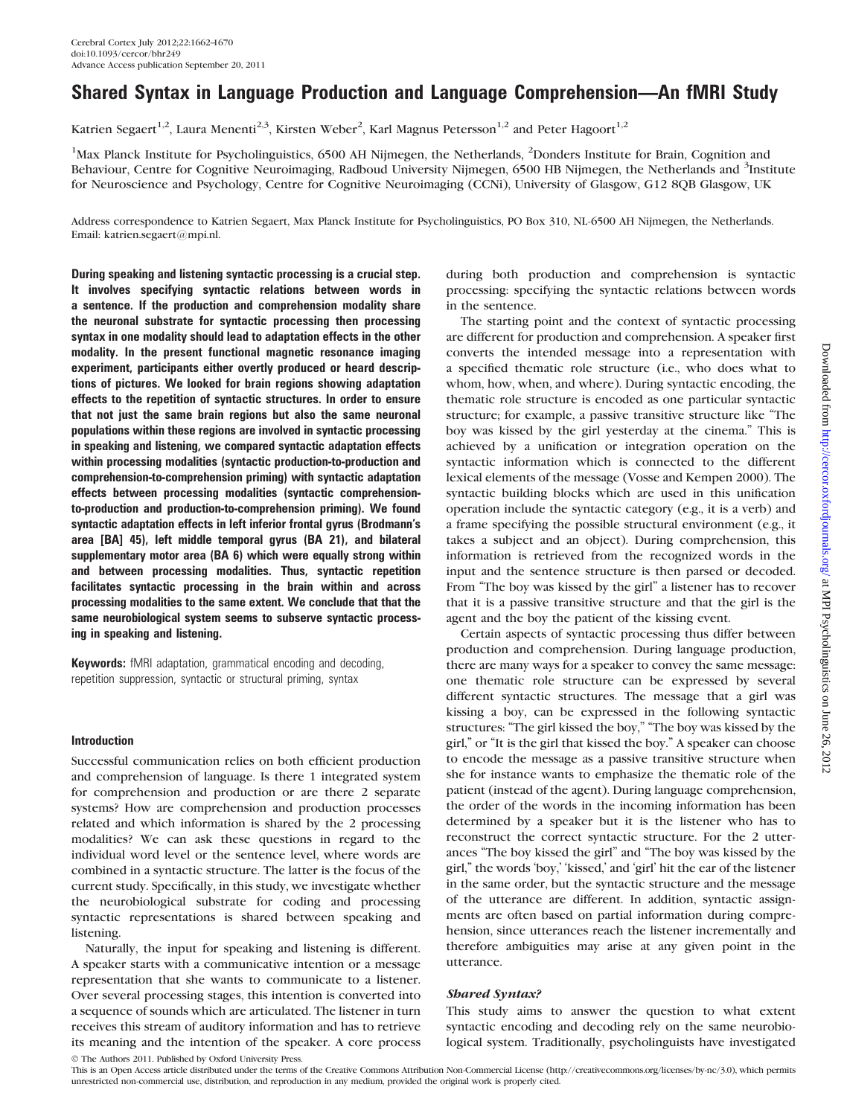# Shared Syntax in Language Production and Language Comprehension—An fMRI Study

Katrien Segaert $^{1,2}$ , Laura Menenti $^{2,3}$ , Kirsten Weber $^2$ , Karl Magnus Petersson $^{1,2}$  and Peter Hagoort $^{1,2}$ 

<sup>1</sup>Max Planck Institute for Psycholinguistics, 6500 AH Nijmegen, the Netherlands, <sup>2</sup>Donders Institute for Brain, Cognition and Behaviour, Centre for Cognitive Neuroimaging, Radboud University Nijmegen, 6500 HB Nijmegen, the Netherlands and <sup>3</sup>Institute for Neuroscience and Psychology, Centre for Cognitive Neuroimaging (CCNi), University of Glasgow, G12 8QB Glasgow, UK

Address correspondence to Katrien Segaert, Max Planck Institute for Psycholinguistics, PO Box 310, NL-6500 AH Nijmegen, the Netherlands. Email: katrien.segaert@mpi.nl.

During speaking and listening syntactic processing is a crucial step. It involves specifying syntactic relations between words in a sentence. If the production and comprehension modality share the neuronal substrate for syntactic processing then processing syntax in one modality should lead to adaptation effects in the other modality. In the present functional magnetic resonance imaging experiment, participants either overtly produced or heard descriptions of pictures. We looked for brain regions showing adaptation effects to the repetition of syntactic structures. In order to ensure that not just the same brain regions but also the same neuronal populations within these regions are involved in syntactic processing in speaking and listening, we compared syntactic adaptation effects within processing modalities (syntactic production-to-production and comprehension-to-comprehension priming) with syntactic adaptation effects between processing modalities (syntactic comprehensionto-production and production-to-comprehension priming). We found syntactic adaptation effects in left inferior frontal gyrus (Brodmann's area [BA] 45), left middle temporal gyrus (BA 21), and bilateral supplementary motor area (BA 6) which were equally strong within and between processing modalities. Thus, syntactic repetition facilitates syntactic processing in the brain within and across processing modalities to the same extent. We conclude that that the same neurobiological system seems to subserve syntactic processing in speaking and listening.

Keywords: fMRI adaptation, grammatical encoding and decoding, repetition suppression, syntactic or structural priming, syntax

#### Introduction

Successful communication relies on both efficient production and comprehension of language. Is there 1 integrated system for comprehension and production or are there 2 separate systems? How are comprehension and production processes related and which information is shared by the 2 processing modalities? We can ask these questions in regard to the individual word level or the sentence level, where words are combined in a syntactic structure. The latter is the focus of the current study. Specifically, in this study, we investigate whether the neurobiological substrate for coding and processing syntactic representations is shared between speaking and listening.

Naturally, the input for speaking and listening is different. A speaker starts with a communicative intention or a message representation that she wants to communicate to a listener. Over several processing stages, this intention is converted into a sequence of sounds which are articulated. The listener in turn receives this stream of auditory information and has to retrieve its meaning and the intention of the speaker. A core process

during both production and comprehension is syntactic processing: specifying the syntactic relations between words in the sentence.

The starting point and the context of syntactic processing are different for production and comprehension. A speaker first converts the intended message into a representation with a specified thematic role structure (i.e., who does what to whom, how, when, and where). During syntactic encoding, the thematic role structure is encoded as one particular syntactic structure; for example, a passive transitive structure like ''The boy was kissed by the girl yesterday at the cinema.'' This is achieved by a unification or integration operation on the syntactic information which is connected to the different lexical elements of the message (Vosse and Kempen 2000). The syntactic building blocks which are used in this unification operation include the syntactic category (e.g., it is a verb) and a frame specifying the possible structural environment (e.g., it takes a subject and an object). During comprehension, this information is retrieved from the recognized words in the input and the sentence structure is then parsed or decoded. From "The boy was kissed by the girl" a listener has to recover that it is a passive transitive structure and that the girl is the agent and the boy the patient of the kissing event.

Certain aspects of syntactic processing thus differ between production and comprehension. During language production, there are many ways for a speaker to convey the same message: one thematic role structure can be expressed by several different syntactic structures. The message that a girl was kissing a boy, can be expressed in the following syntactic structures: ''The girl kissed the boy,'' ''The boy was kissed by the girl,'' or ''It is the girl that kissed the boy.'' A speaker can choose to encode the message as a passive transitive structure when she for instance wants to emphasize the thematic role of the patient (instead of the agent). During language comprehension, the order of the words in the incoming information has been determined by a speaker but it is the listener who has to reconstruct the correct syntactic structure. For the 2 utterances ''The boy kissed the girl'' and ''The boy was kissed by the girl,'' the words 'boy,' 'kissed,' and 'girl' hit the ear of the listener in the same order, but the syntactic structure and the message of the utterance are different. In addition, syntactic assignments are often based on partial information during comprehension, since utterances reach the listener incrementally and therefore ambiguities may arise at any given point in the utterance.

# Shared Syntax?

This study aims to answer the question to what extent syntactic encoding and decoding rely on the same neurobiological system. Traditionally, psycholinguists have investigated

- The Authors 2011. Published by Oxford University Press.

This is an Open Access article distributed under the terms of the Creative Commons Attribution Non-Commercial License (http://creativecommons.org/licenses/by-nc/3.0), which permits unrestricted non-commercial use, distribution, and reproduction in any medium, provided the original work is properly cited.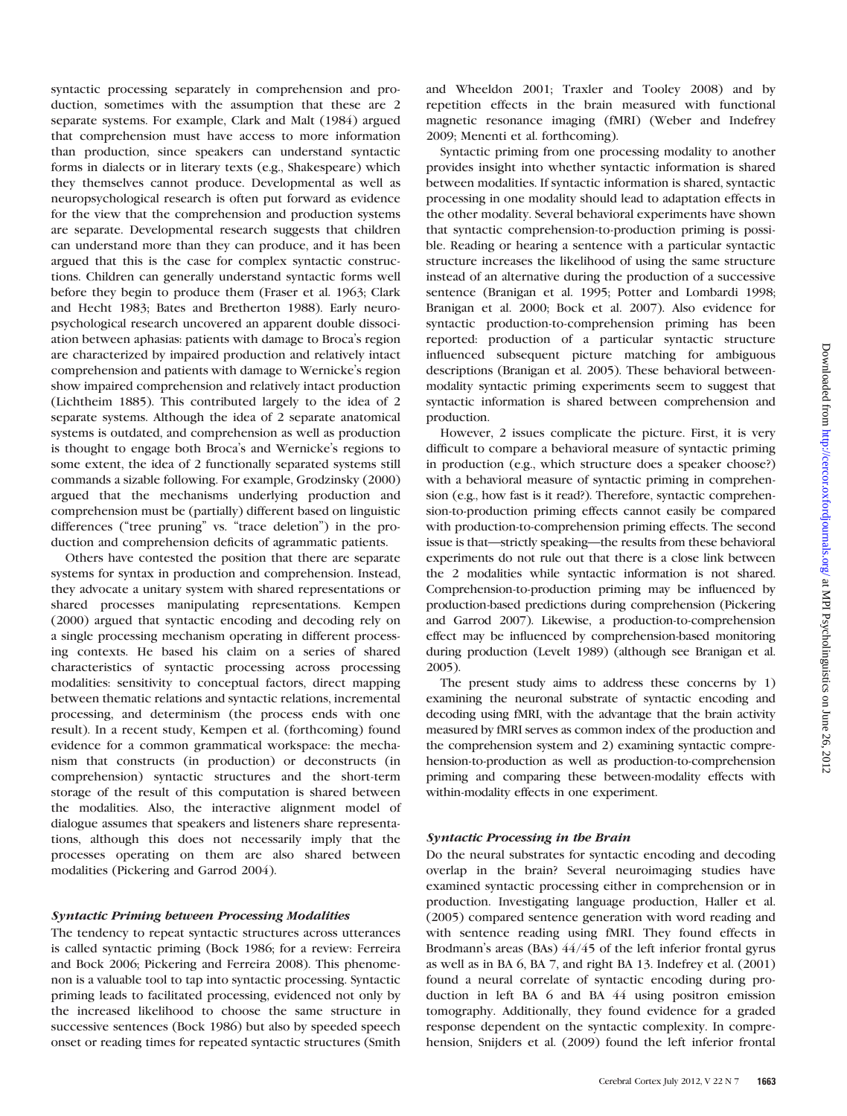syntactic processing separately in comprehension and production, sometimes with the assumption that these are 2 separate systems. For example, Clark and Malt (1984) argued that comprehension must have access to more information than production, since speakers can understand syntactic forms in dialects or in literary texts (e.g., Shakespeare) which they themselves cannot produce. Developmental as well as neuropsychological research is often put forward as evidence for the view that the comprehension and production systems are separate. Developmental research suggests that children can understand more than they can produce, and it has been argued that this is the case for complex syntactic constructions. Children can generally understand syntactic forms well before they begin to produce them (Fraser et al. 1963; Clark and Hecht 1983; Bates and Bretherton 1988). Early neuropsychological research uncovered an apparent double dissociation between aphasias: patients with damage to Broca's region are characterized by impaired production and relatively intact comprehension and patients with damage to Wernicke's region show impaired comprehension and relatively intact production (Lichtheim 1885). This contributed largely to the idea of 2 separate systems. Although the idea of 2 separate anatomical systems is outdated, and comprehension as well as production is thought to engage both Broca's and Wernicke's regions to some extent, the idea of 2 functionally separated systems still commands a sizable following. For example, Grodzinsky (2000) argued that the mechanisms underlying production and comprehension must be (partially) different based on linguistic differences ("tree pruning" vs. "trace deletion") in the production and comprehension deficits of agrammatic patients.

Others have contested the position that there are separate systems for syntax in production and comprehension. Instead, they advocate a unitary system with shared representations or shared processes manipulating representations. Kempen (2000) argued that syntactic encoding and decoding rely on a single processing mechanism operating in different processing contexts. He based his claim on a series of shared characteristics of syntactic processing across processing modalities: sensitivity to conceptual factors, direct mapping between thematic relations and syntactic relations, incremental processing, and determinism (the process ends with one result). In a recent study, Kempen et al. (forthcoming) found evidence for a common grammatical workspace: the mechanism that constructs (in production) or deconstructs (in comprehension) syntactic structures and the short-term storage of the result of this computation is shared between the modalities. Also, the interactive alignment model of dialogue assumes that speakers and listeners share representations, although this does not necessarily imply that the processes operating on them are also shared between modalities (Pickering and Garrod 2004).

# Syntactic Priming between Processing Modalities

The tendency to repeat syntactic structures across utterances is called syntactic priming (Bock 1986; for a review: Ferreira and Bock 2006; Pickering and Ferreira 2008). This phenomenon is a valuable tool to tap into syntactic processing. Syntactic priming leads to facilitated processing, evidenced not only by the increased likelihood to choose the same structure in successive sentences (Bock 1986) but also by speeded speech onset or reading times for repeated syntactic structures (Smith and Wheeldon 2001; Traxler and Tooley 2008) and by repetition effects in the brain measured with functional magnetic resonance imaging (fMRI) (Weber and Indefrey 2009; Menenti et al. forthcoming).

Syntactic priming from one processing modality to another provides insight into whether syntactic information is shared between modalities. If syntactic information is shared, syntactic processing in one modality should lead to adaptation effects in the other modality. Several behavioral experiments have shown that syntactic comprehension-to-production priming is possible. Reading or hearing a sentence with a particular syntactic structure increases the likelihood of using the same structure instead of an alternative during the production of a successive sentence (Branigan et al. 1995; Potter and Lombardi 1998; Branigan et al. 2000; Bock et al. 2007). Also evidence for syntactic production-to-comprehension priming has been reported: production of a particular syntactic structure influenced subsequent picture matching for ambiguous descriptions (Branigan et al. 2005). These behavioral betweenmodality syntactic priming experiments seem to suggest that syntactic information is shared between comprehension and production.

However, 2 issues complicate the picture. First, it is very difficult to compare a behavioral measure of syntactic priming in production (e.g., which structure does a speaker choose?) with a behavioral measure of syntactic priming in comprehension (e.g., how fast is it read?). Therefore, syntactic comprehension-to-production priming effects cannot easily be compared with production-to-comprehension priming effects. The second issue is that—strictly speaking—the results from these behavioral experiments do not rule out that there is a close link between the 2 modalities while syntactic information is not shared. Comprehension-to-production priming may be influenced by production-based predictions during comprehension (Pickering and Garrod 2007). Likewise, a production-to-comprehension effect may be influenced by comprehension-based monitoring during production (Levelt 1989) (although see Branigan et al. 2005).

The present study aims to address these concerns by 1) examining the neuronal substrate of syntactic encoding and decoding using fMRI, with the advantage that the brain activity measured by fMRI serves as common index of the production and the comprehension system and 2) examining syntactic comprehension-to-production as well as production-to-comprehension priming and comparing these between-modality effects with within-modality effects in one experiment.

### Syntactic Processing in the Brain

Do the neural substrates for syntactic encoding and decoding overlap in the brain? Several neuroimaging studies have examined syntactic processing either in comprehension or in production. Investigating language production, Haller et al. (2005) compared sentence generation with word reading and with sentence reading using fMRI. They found effects in Brodmann's areas (BAs) 44/45 of the left inferior frontal gyrus as well as in BA 6, BA 7, and right BA 13. Indefrey et al. (2001) found a neural correlate of syntactic encoding during production in left BA 6 and BA 44 using positron emission tomography. Additionally, they found evidence for a graded response dependent on the syntactic complexity. In comprehension, Snijders et al. (2009) found the left inferior frontal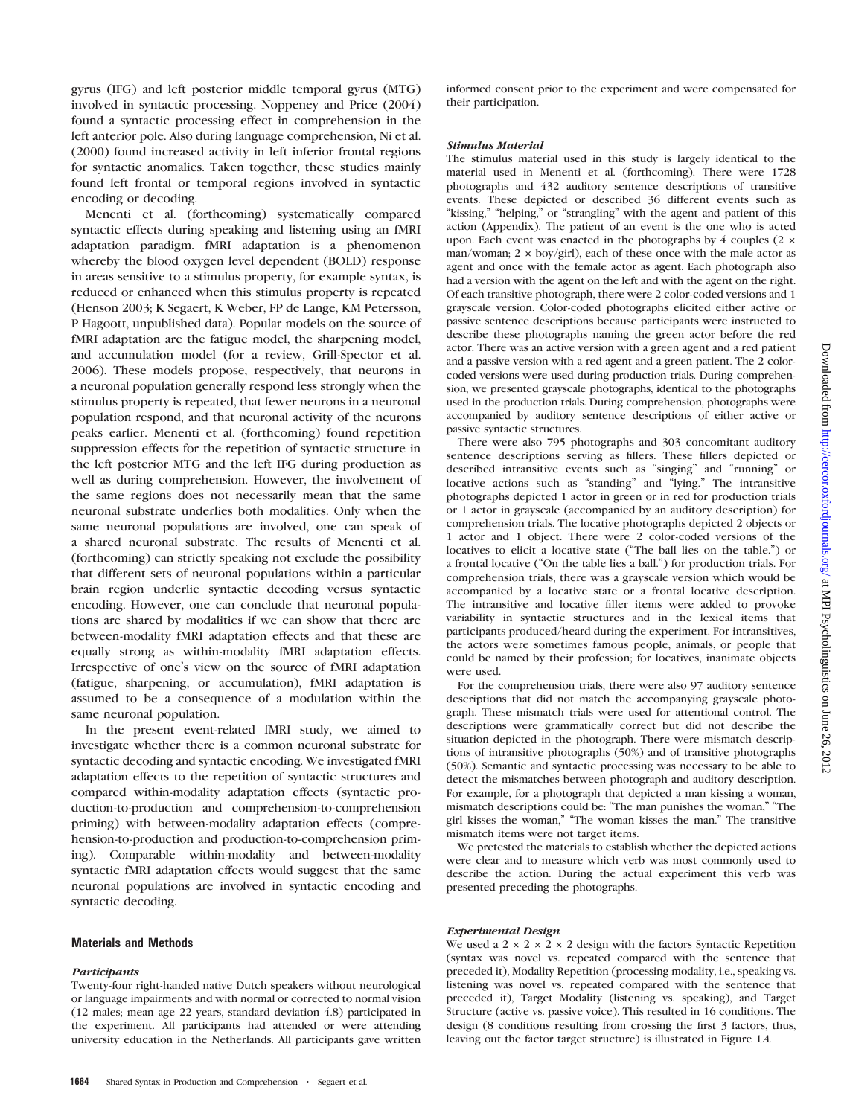$26,$  $.2012$ 

gyrus (IFG) and left posterior middle temporal gyrus (MTG) involved in syntactic processing. Noppeney and Price (2004) found a syntactic processing effect in comprehension in the left anterior pole. Also during language comprehension, Ni et al. (2000) found increased activity in left inferior frontal regions for syntactic anomalies. Taken together, these studies mainly found left frontal or temporal regions involved in syntactic encoding or decoding.

Menenti et al. (forthcoming) systematically compared syntactic effects during speaking and listening using an fMRI adaptation paradigm. fMRI adaptation is a phenomenon whereby the blood oxygen level dependent (BOLD) response in areas sensitive to a stimulus property, for example syntax, is reduced or enhanced when this stimulus property is repeated (Henson 2003; K Segaert, K Weber, FP de Lange, KM Petersson, P Hagoott, unpublished data). Popular models on the source of fMRI adaptation are the fatigue model, the sharpening model, and accumulation model (for a review, Grill-Spector et al. 2006). These models propose, respectively, that neurons in a neuronal population generally respond less strongly when the stimulus property is repeated, that fewer neurons in a neuronal population respond, and that neuronal activity of the neurons peaks earlier. Menenti et al. (forthcoming) found repetition suppression effects for the repetition of syntactic structure in the left posterior MTG and the left IFG during production as well as during comprehension. However, the involvement of the same regions does not necessarily mean that the same neuronal substrate underlies both modalities. Only when the same neuronal populations are involved, one can speak of a shared neuronal substrate. The results of Menenti et al. (forthcoming) can strictly speaking not exclude the possibility that different sets of neuronal populations within a particular brain region underlie syntactic decoding versus syntactic encoding. However, one can conclude that neuronal populations are shared by modalities if we can show that there are between-modality fMRI adaptation effects and that these are equally strong as within-modality fMRI adaptation effects. Irrespective of one's view on the source of fMRI adaptation (fatigue, sharpening, or accumulation), fMRI adaptation is assumed to be a consequence of a modulation within the same neuronal population.

In the present event-related fMRI study, we aimed to investigate whether there is a common neuronal substrate for syntactic decoding and syntactic encoding. We investigated fMRI adaptation effects to the repetition of syntactic structures and compared within-modality adaptation effects (syntactic production-to-production and comprehension-to-comprehension priming) with between-modality adaptation effects (comprehension-to-production and production-to-comprehension priming). Comparable within-modality and between-modality syntactic fMRI adaptation effects would suggest that the same neuronal populations are involved in syntactic encoding and syntactic decoding.

# Materials and Methods

#### **Participants**

Twenty-four right-handed native Dutch speakers without neurological or language impairments and with normal or corrected to normal vision (12 males; mean age 22 years, standard deviation 4.8) participated in the experiment. All participants had attended or were attending university education in the Netherlands. All participants gave written

informed consent prior to the experiment and were compensated for their participation.

#### Stimulus Material

The stimulus material used in this study is largely identical to the material used in Menenti et al. (forthcoming). There were 1728 photographs and 432 auditory sentence descriptions of transitive events. These depicted or described 36 different events such as "kissing," "helping," or "strangling" with the agent and patient of this action (Appendix). The patient of an event is the one who is acted upon. Each event was enacted in the photographs by  $4$  couples ( $2 \times$ man/woman;  $2 \times \frac{boy}{girl}$ , each of these once with the male actor as agent and once with the female actor as agent. Each photograph also had a version with the agent on the left and with the agent on the right. Of each transitive photograph, there were 2 color-coded versions and 1 grayscale version. Color-coded photographs elicited either active or passive sentence descriptions because participants were instructed to describe these photographs naming the green actor before the red actor. There was an active version with a green agent and a red patient and a passive version with a red agent and a green patient. The 2 colorcoded versions were used during production trials. During comprehension, we presented grayscale photographs, identical to the photographs used in the production trials. During comprehension, photographs were accompanied by auditory sentence descriptions of either active or passive syntactic structures.

There were also 795 photographs and 303 concomitant auditory sentence descriptions serving as fillers. These fillers depicted or described intransitive events such as ''singing'' and ''running'' or locative actions such as ''standing'' and ''lying.'' The intransitive photographs depicted 1 actor in green or in red for production trials or 1 actor in grayscale (accompanied by an auditory description) for comprehension trials. The locative photographs depicted 2 objects or 1 actor and 1 object. There were 2 color-coded versions of the locatives to elicit a locative state (''The ball lies on the table.'') or a frontal locative (''On the table lies a ball.'') for production trials. For comprehension trials, there was a grayscale version which would be accompanied by a locative state or a frontal locative description. The intransitive and locative filler items were added to provoke variability in syntactic structures and in the lexical items that participants produced/heard during the experiment. For intransitives, the actors were sometimes famous people, animals, or people that could be named by their profession; for locatives, inanimate objects were used.

For the comprehension trials, there were also 97 auditory sentence descriptions that did not match the accompanying grayscale photograph. These mismatch trials were used for attentional control. The descriptions were grammatically correct but did not describe the situation depicted in the photograph. There were mismatch descriptions of intransitive photographs (50%) and of transitive photographs (50%). Semantic and syntactic processing was necessary to be able to detect the mismatches between photograph and auditory description. For example, for a photograph that depicted a man kissing a woman, mismatch descriptions could be: ''The man punishes the woman,'' ''The girl kisses the woman," "The woman kisses the man." The transitive mismatch items were not target items.

We pretested the materials to establish whether the depicted actions were clear and to measure which verb was most commonly used to describe the action. During the actual experiment this verb was presented preceding the photographs.

#### Experimental Design

We used a  $2 \times 2 \times 2 \times 2$  design with the factors Syntactic Repetition (syntax was novel vs. repeated compared with the sentence that preceded it), Modality Repetition (processing modality, i.e., speaking vs. listening was novel vs. repeated compared with the sentence that preceded it), Target Modality (listening vs. speaking), and Target Structure (active vs. passive voice). This resulted in 16 conditions. The design (8 conditions resulting from crossing the first 3 factors, thus, leaving out the factor target structure) is illustrated in Figure 1A.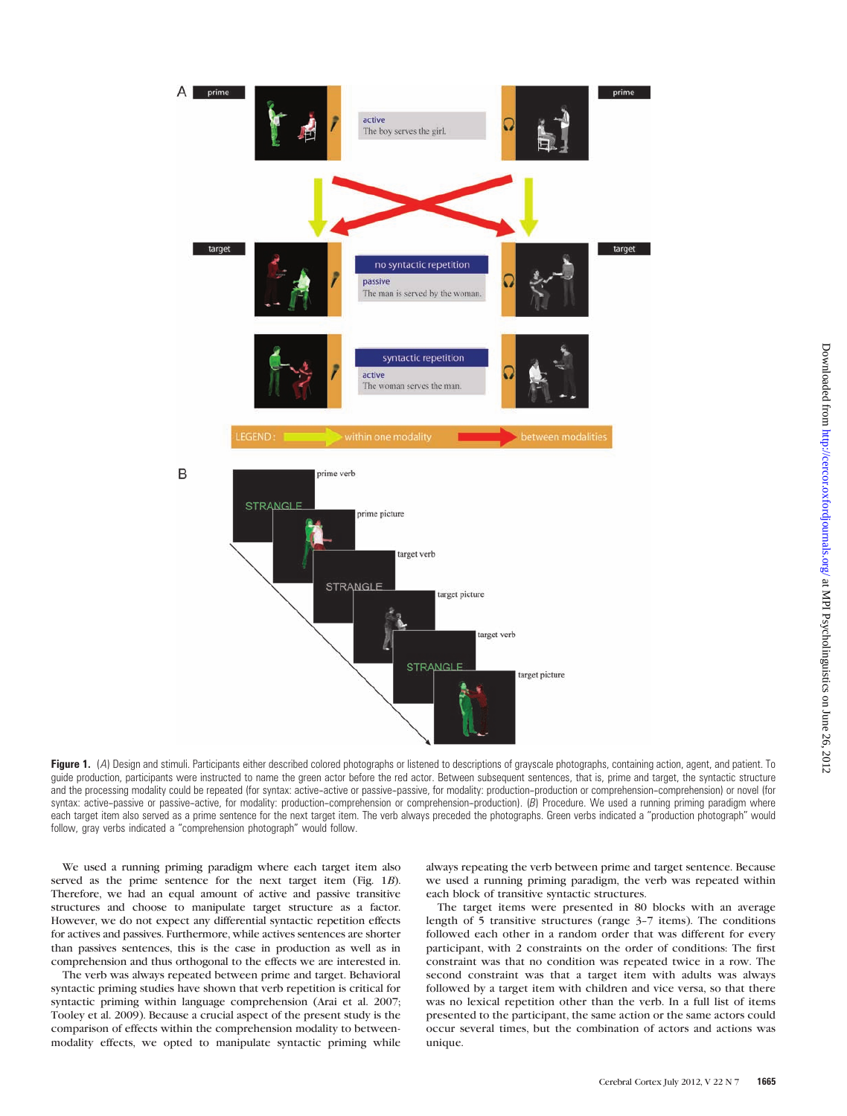

Figure 1. (A) Design and stimuli. Participants either described colored photographs or listened to descriptions of grayscale photographs, containing action, agent, and patient. To guide production, participants were instructed to name the green actor before the red actor. Between subsequent sentences, that is, prime and target, the syntactic structure and the processing modality could be repeated (for syntax: active-active or passive-passive, for modality: production-production or comprehension-comprehension) or novel (for syntax: active-passive or passive-active, for modality: production-comprehension or comprehension-production). (B) Procedure. We used a running priming paradigm where each target item also served as a prime sentence for the next target item. The verb always preceded the photographs. Green verbs indicated a "production photograph" would follow, gray verbs indicated a ''comprehension photograph'' would follow.

We used a running priming paradigm where each target item also served as the prime sentence for the next target item (Fig. 1B). Therefore, we had an equal amount of active and passive transitive structures and choose to manipulate target structure as a factor. However, we do not expect any differential syntactic repetition effects for actives and passives. Furthermore, while actives sentences are shorter than passives sentences, this is the case in production as well as in comprehension and thus orthogonal to the effects we are interested in.

The verb was always repeated between prime and target. Behavioral syntactic priming studies have shown that verb repetition is critical for syntactic priming within language comprehension (Arai et al. 2007; Tooley et al. 2009). Because a crucial aspect of the present study is the comparison of effects within the comprehension modality to betweenmodality effects, we opted to manipulate syntactic priming while

always repeating the verb between prime and target sentence. Because we used a running priming paradigm, the verb was repeated within each block of transitive syntactic structures.

The target items were presented in 80 blocks with an average length of 5 transitive structures (range 3--7 items). The conditions followed each other in a random order that was different for every participant, with 2 constraints on the order of conditions: The first constraint was that no condition was repeated twice in a row. The second constraint was that a target item with adults was always followed by a target item with children and vice versa, so that there was no lexical repetition other than the verb. In a full list of items presented to the participant, the same action or the same actors could occur several times, but the combination of actors and actions was unique.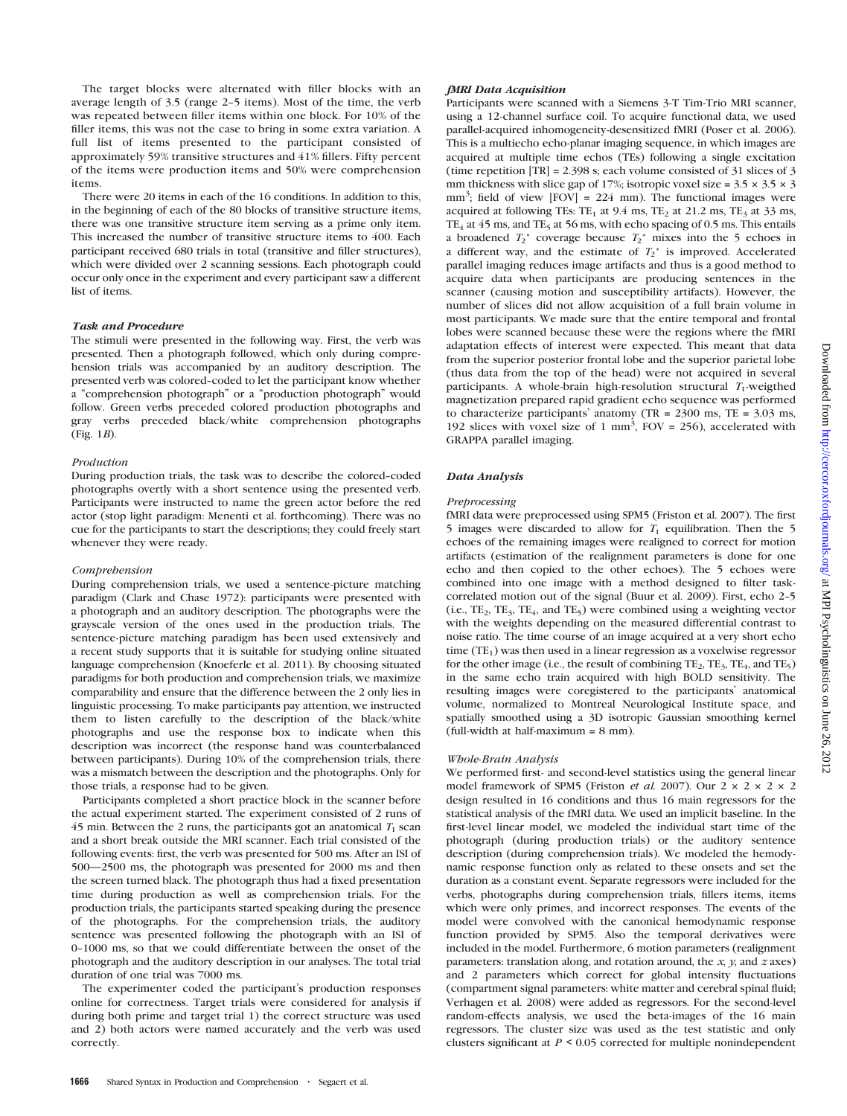The target blocks were alternated with filler blocks with an average length of 3.5 (range 2-5 items). Most of the time, the verb was repeated between filler items within one block. For 10% of the filler items, this was not the case to bring in some extra variation. A full list of items presented to the participant consisted of approximately 59% transitive structures and 41% fillers. Fifty percent of the items were production items and 50% were comprehension items.

There were 20 items in each of the 16 conditions. In addition to this, in the beginning of each of the 80 blocks of transitive structure items, there was one transitive structure item serving as a prime only item. This increased the number of transitive structure items to 400. Each participant received 680 trials in total (transitive and filler structures), which were divided over 2 scanning sessions. Each photograph could occur only once in the experiment and every participant saw a different list of items.

#### Task and Procedure

The stimuli were presented in the following way. First, the verb was presented. Then a photograph followed, which only during comprehension trials was accompanied by an auditory description. The presented verb was colored--coded to let the participant know whether a ''comprehension photograph'' or a ''production photograph'' would follow. Green verbs preceded colored production photographs and gray verbs preceded black/white comprehension photographs (Fig. 1B).

## Production

During production trials, the task was to describe the colored-coded photographs overtly with a short sentence using the presented verb. Participants were instructed to name the green actor before the red actor (stop light paradigm: Menenti et al. forthcoming). There was no cue for the participants to start the descriptions; they could freely start whenever they were ready.

#### Comprehension

During comprehension trials, we used a sentence-picture matching paradigm (Clark and Chase 1972): participants were presented with a photograph and an auditory description. The photographs were the grayscale version of the ones used in the production trials. The sentence-picture matching paradigm has been used extensively and a recent study supports that it is suitable for studying online situated language comprehension (Knoeferle et al. 2011). By choosing situated paradigms for both production and comprehension trials, we maximize comparability and ensure that the difference between the 2 only lies in linguistic processing. To make participants pay attention, we instructed them to listen carefully to the description of the black/white photographs and use the response box to indicate when this description was incorrect (the response hand was counterbalanced between participants). During 10% of the comprehension trials, there was a mismatch between the description and the photographs. Only for those trials, a response had to be given.

Participants completed a short practice block in the scanner before the actual experiment started. The experiment consisted of 2 runs of 45 min. Between the 2 runs, the participants got an anatomical  $T_1$  scan and a short break outside the MRI scanner. Each trial consisted of the following events: first, the verb was presented for 500 ms. After an ISI of 500—2500 ms, the photograph was presented for 2000 ms and then the screen turned black. The photograph thus had a fixed presentation time during production as well as comprehension trials. For the production trials, the participants started speaking during the presence of the photographs. For the comprehension trials, the auditory sentence was presented following the photograph with an ISI of 0-1000 ms, so that we could differentiate between the onset of the photograph and the auditory description in our analyses. The total trial duration of one trial was 7000 ms.

The experimenter coded the participant's production responses online for correctness. Target trials were considered for analysis if during both prime and target trial 1) the correct structure was used and 2) both actors were named accurately and the verb was used correctly.

### fMRI Data Acquisition

Participants were scanned with a Siemens 3-T Tim-Trio MRI scanner, using a 12-channel surface coil. To acquire functional data, we used parallel-acquired inhomogeneity-desensitized fMRI (Poser et al. 2006). This is a multiecho echo-planar imaging sequence, in which images are acquired at multiple time echos (TEs) following a single excitation (time repetition  $[TR] = 2.398$  s; each volume consisted of 31 slices of 3 mm thickness with slice gap of 17%; isotropic voxel size =  $3.5 \times 3.5 \times 3$  $mm<sup>3</sup>$ ; field of view [FOV] = 224 mm). The functional images were acquired at following TEs:  $TE_1$  at 9.4 ms,  $TE_2$  at 21.2 ms,  $TE_3$  at 33 ms,  $TE_4$  at 45 ms, and  $TE_5$  at 56 ms, with echo spacing of 0.5 ms. This entails a broadened  $T_2^*$  coverage because  $T_2^*$  mixes into the 5 echoes in a different way, and the estimate of  $T_2^*$  is improved. Accelerated parallel imaging reduces image artifacts and thus is a good method to acquire data when participants are producing sentences in the scanner (causing motion and susceptibility artifacts). However, the number of slices did not allow acquisition of a full brain volume in most participants. We made sure that the entire temporal and frontal lobes were scanned because these were the regions where the fMRI adaptation effects of interest were expected. This meant that data from the superior posterior frontal lobe and the superior parietal lobe (thus data from the top of the head) were not acquired in several participants. A whole-brain high-resolution structural  $T_1$ -weigthed magnetization prepared rapid gradient echo sequence was performed to characterize participants' anatomy (TR =  $2300$  ms, TE =  $3.03$  ms, 192 slices with voxel size of 1 mm<sup>3</sup>, FOV = 256), accelerated with GRAPPA parallel imaging.

#### Data Analysis

#### Preprocessing

fMRI data were preprocessed using SPM5 (Friston et al. 2007). The first 5 images were discarded to allow for  $T_1$  equilibration. Then the 5 echoes of the remaining images were realigned to correct for motion artifacts (estimation of the realignment parameters is done for one echo and then copied to the other echoes). The 5 echoes were combined into one image with a method designed to filter taskcorrelated motion out of the signal (Buur et al. 2009). First, echo 2-5 (i.e., TE<sub>2</sub>, TE<sub>4</sub>, TE<sub>4</sub>, and TE<sub>5</sub>) were combined using a weighting vector with the weights depending on the measured differential contrast to noise ratio. The time course of an image acquired at a very short echo time  $(TE<sub>1</sub>)$  was then used in a linear regression as a voxelwise regressor for the other image (i.e., the result of combining  $TE_2$ ,  $TE_3$ ,  $TE_4$ , and  $TE_5$ ) in the same echo train acquired with high BOLD sensitivity. The resulting images were coregistered to the participants' anatomical volume, normalized to Montreal Neurological Institute space, and spatially smoothed using a 3D isotropic Gaussian smoothing kernel (full-width at half-maximum = 8 mm).

#### Whole-Brain Analysis

We performed first- and second-level statistics using the general linear model framework of SPM5 (Friston et al. 2007). Our  $2 \times 2 \times 2 \times 2$ design resulted in 16 conditions and thus 16 main regressors for the statistical analysis of the fMRI data. We used an implicit baseline. In the first-level linear model, we modeled the individual start time of the photograph (during production trials) or the auditory sentence description (during comprehension trials). We modeled the hemodynamic response function only as related to these onsets and set the duration as a constant event. Separate regressors were included for the verbs, photographs during comprehension trials, fillers items, items which were only primes, and incorrect responses. The events of the model were convolved with the canonical hemodynamic response function provided by SPM5. Also the temporal derivatives were included in the model. Furthermore, 6 motion parameters (realignment parameters: translation along, and rotation around, the  $x$ ,  $y$ , and  $z$  axes) and 2 parameters which correct for global intensity fluctuations (compartment signal parameters: white matter and cerebral spinal fluid; Verhagen et al. 2008) were added as regressors. For the second-level random-effects analysis, we used the beta-images of the 16 main regressors. The cluster size was used as the test statistic and only clusters significant at  $P \leq 0.05$  corrected for multiple nonindependent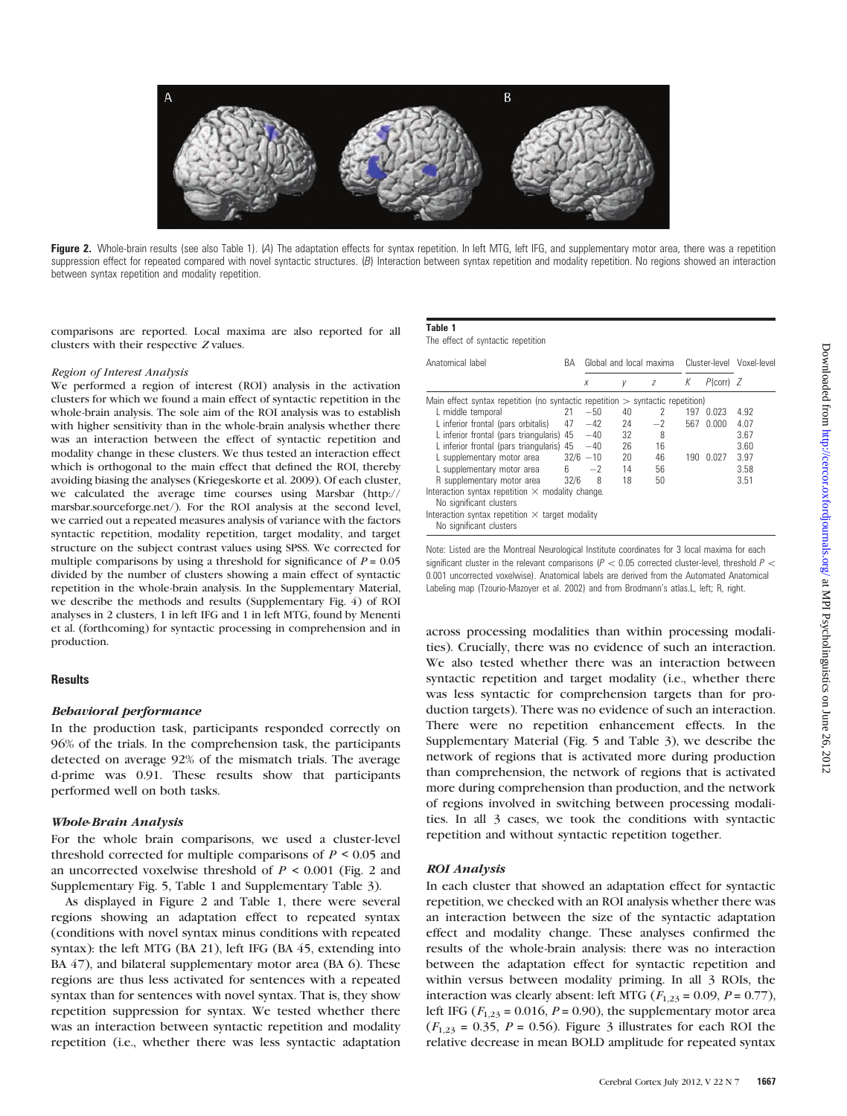

Figure 2. Whole-brain results (see also Table 1). (A) The adaptation effects for syntax repetition. In left MTG, left IFG, and supplementary motor area, there was a repetition suppression effect for repeated compared with novel syntactic structures.  $(B)$  Interaction between syntax repetition and modality repetition. No regions showed an interaction between syntax repetition and modality repetition.

comparisons are reported. Local maxima are also reported for all clusters with their respective Z values.

#### Region of Interest Analysis

We performed a region of interest (ROI) analysis in the activation clusters for which we found a main effect of syntactic repetition in the whole-brain analysis. The sole aim of the ROI analysis was to establish with higher sensitivity than in the whole-brain analysis whether there was an interaction between the effect of syntactic repetition and modality change in these clusters. We thus tested an interaction effect which is orthogonal to the main effect that defined the ROI, thereby avoiding biasing the analyses (Kriegeskorte et al. 2009). Of each cluster, we calculated the average time courses using Marsbar ([http://](http://marsbar.sourceforge.net/) [marsbar.sourceforge.net/](http://marsbar.sourceforge.net/)). For the ROI analysis at the second level, we carried out a repeated measures analysis of variance with the factors syntactic repetition, modality repetition, target modality, and target structure on the subject contrast values using SPSS. We corrected for multiple comparisons by using a threshold for significance of  $P = 0.05$ divided by the number of clusters showing a main effect of syntactic repetition in the whole-brain analysis. In the [Supplementary Material](http://www.cercor.oxfordjournals.org/lookup/suppl/doi:10.1093/cercor/bhr249/-/DC1), we describe the methods and results (Supplementary Fig. 4) of ROI analyses in 2 clusters, 1 in left IFG and 1 in left MTG, found by Menenti et al. (forthcoming) for syntactic processing in comprehension and in production.

#### **Results**

#### Behavioral performance

In the production task, participants responded correctly on 96% of the trials. In the comprehension task, the participants detected on average 92% of the mismatch trials. The average d-prime was 0.91. These results show that participants performed well on both tasks.

## Whole-Brain Analysis

For the whole brain comparisons, we used a cluster-level threshold corrected for multiple comparisons of  $P \leq 0.05$  and an uncorrected voxelwise threshold of  $P \leq 0.001$  (Fig. 2 and [Supplementary Fig. 5](http://www.cercor.oxfordjournals.org/lookup/suppl/doi:10.1093/cercor/bhr249/-/DC1), Table 1 and [Supplementary Table 3](http://www.cercor.oxfordjournals.org/lookup/suppl/doi:10.1093/cercor/bhr249/-/DC1)).

As displayed in Figure 2 and Table 1, there were several regions showing an adaptation effect to repeated syntax (conditions with novel syntax minus conditions with repeated syntax): the left MTG (BA 21), left IFG (BA 45, extending into BA 47), and bilateral supplementary motor area (BA 6). These regions are thus less activated for sentences with a repeated syntax than for sentences with novel syntax. That is, they show repetition suppression for syntax. We tested whether there was an interaction between syntactic repetition and modality repetition (i.e., whether there was less syntactic adaptation

#### Table 1 The effect of syntactic repetition

| Anatomical label                                                                 | ВA   | Global and local maxima |    |      | Cluster-level Voxel-level |                |      |  |
|----------------------------------------------------------------------------------|------|-------------------------|----|------|---------------------------|----------------|------|--|
|                                                                                  |      | X                       | V  | Z    | К                         | $P$ (corr) $Z$ |      |  |
| Main effect syntax repetition (no syntactic repetition $>$ syntactic repetition) |      |                         |    |      |                           |                |      |  |
| L middle temporal                                                                | 21   | $-50$                   | 40 |      | 197                       | 0.023          | 4.92 |  |
| L inferior frontal (pars orbitalis)                                              | 47   | $-42$                   | 24 | $-2$ | 567                       | 0.000          | 4.07 |  |
| L inferior frontal (pars triangularis) 45                                        |      | $-40$                   | 32 | 8    |                           |                | 3.67 |  |
| L inferior frontal (pars triangularis) 45                                        |      | $-40$                   | 26 | 16   |                           |                | 3.60 |  |
| L supplementary motor area                                                       |      | $32/6 - 10$             | 20 | 46   | 190                       | 0.027          | 3.97 |  |
| L supplementary motor area                                                       | 6    | $-2$                    | 14 | 56   |                           |                | 3.58 |  |
| R supplementary motor area                                                       | 32/6 | 8                       | 18 | 50   |                           |                | 3.51 |  |
| Interaction syntax repetition $\times$ modality change.                          |      |                         |    |      |                           |                |      |  |
| No significant clusters                                                          |      |                         |    |      |                           |                |      |  |
| Interaction syntax repetition $\times$ target modality                           |      |                         |    |      |                           |                |      |  |
| No significant clusters                                                          |      |                         |    |      |                           |                |      |  |

Note: Listed are the Montreal Neurological Institute coordinates for 3 local maxima for each significant cluster in the relevant comparisons ( $P < 0.05$  corrected cluster-level, threshold  $P <$ 0.001 uncorrected voxelwise). Anatomical labels are derived from the Automated Anatomical Labeling map (Tzourio-Mazoyer et al. 2002) and from Brodmann's atlas.L, left; R, right.

across processing modalities than within processing modalities). Crucially, there was no evidence of such an interaction. We also tested whether there was an interaction between syntactic repetition and target modality (i.e., whether there was less syntactic for comprehension targets than for production targets). There was no evidence of such an interaction. There were no repetition enhancement effects. In the [Supplementary Material](http://www.cercor.oxfordjournals.org/lookup/suppl/doi:10.1093/cercor/bhr249/-/DC1) (Fig. 5 and Table 3), we describe the network of regions that is activated more during production than comprehension, the network of regions that is activated more during comprehension than production, and the network of regions involved in switching between processing modalities. In all 3 cases, we took the conditions with syntactic repetition and without syntactic repetition together.

#### ROI Analysis

In each cluster that showed an adaptation effect for syntactic repetition, we checked with an ROI analysis whether there was an interaction between the size of the syntactic adaptation effect and modality change. These analyses confirmed the results of the whole-brain analysis: there was no interaction between the adaptation effect for syntactic repetition and within versus between modality priming. In all 3 ROIs, the interaction was clearly absent: left MTG ( $F_{1,23} = 0.09$ ,  $P = 0.77$ ), left IFG ( $F_{1,23}$  = 0.016,  $P = 0.90$ ), the supplementary motor area  $(F<sub>1,23</sub> = 0.35, P = 0.56)$ . Figure 3 illustrates for each ROI the relative decrease in mean BOLD amplitude for repeated syntax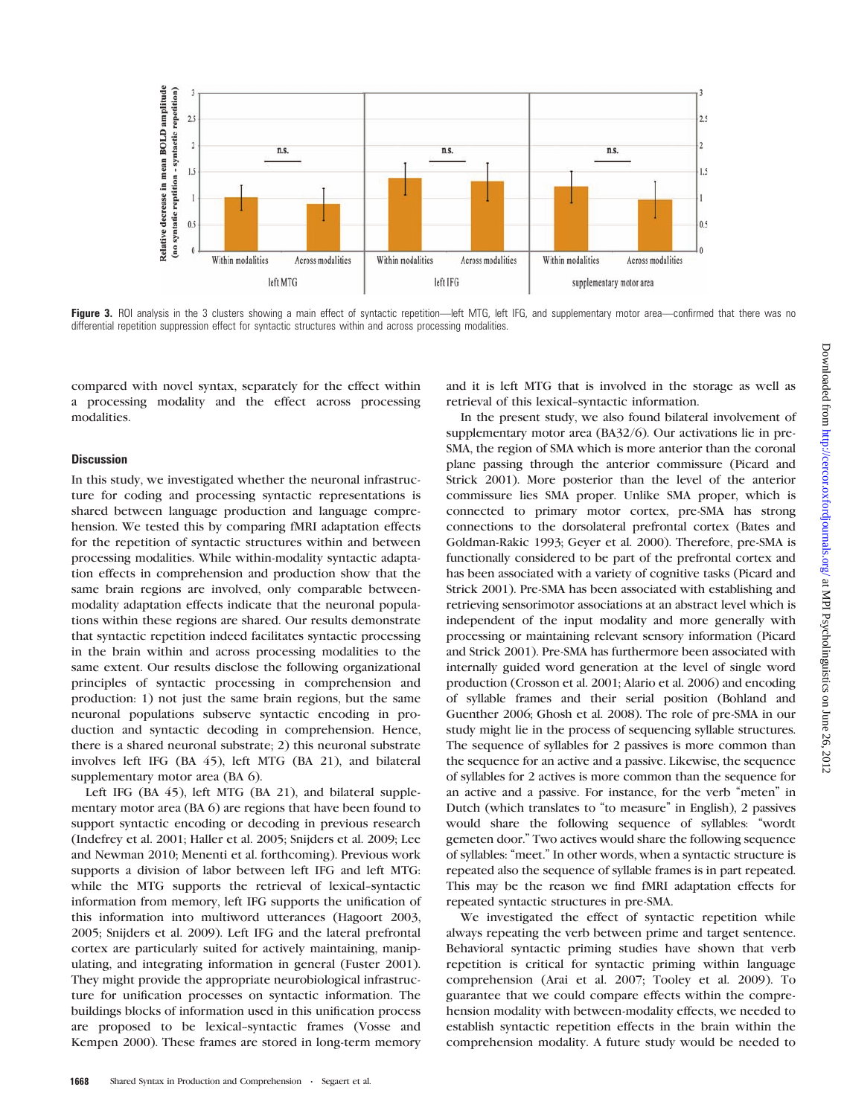

Figure 3. ROI analysis in the 3 clusters showing a main effect of syntactic repetition—left MTG, left IFG, and supplementary motor area—confirmed that there was no differential repetition suppression effect for syntactic structures within and across processing modalities.

compared with novel syntax, separately for the effect within a processing modality and the effect across processing modalities.

and it is left MTG that is involved in the storage as well as retrieval of this lexical--syntactic information. In the present study, we also found bilateral involvement of

# **Discussion**

In this study, we investigated whether the neuronal infrastructure for coding and processing syntactic representations is shared between language production and language comprehension. We tested this by comparing fMRI adaptation effects for the repetition of syntactic structures within and between processing modalities. While within-modality syntactic adaptation effects in comprehension and production show that the same brain regions are involved, only comparable betweenmodality adaptation effects indicate that the neuronal populations within these regions are shared. Our results demonstrate that syntactic repetition indeed facilitates syntactic processing in the brain within and across processing modalities to the same extent. Our results disclose the following organizational principles of syntactic processing in comprehension and production: 1) not just the same brain regions, but the same neuronal populations subserve syntactic encoding in production and syntactic decoding in comprehension. Hence, there is a shared neuronal substrate; 2) this neuronal substrate involves left IFG (BA 45), left MTG (BA 21), and bilateral supplementary motor area (BA 6).

Left IFG (BA 45), left MTG (BA 21), and bilateral supplementary motor area (BA 6) are regions that have been found to support syntactic encoding or decoding in previous research (Indefrey et al. 2001; Haller et al. 2005; Snijders et al. 2009; Lee and Newman 2010; Menenti et al. forthcoming). Previous work supports a division of labor between left IFG and left MTG: while the MTG supports the retrieval of lexical-syntactic information from memory, left IFG supports the unification of this information into multiword utterances (Hagoort 2003, 2005; Snijders et al. 2009). Left IFG and the lateral prefrontal cortex are particularly suited for actively maintaining, manipulating, and integrating information in general (Fuster 2001). They might provide the appropriate neurobiological infrastructure for unification processes on syntactic information. The buildings blocks of information used in this unification process are proposed to be lexical--syntactic frames (Vosse and Kempen 2000). These frames are stored in long-term memory

supplementary motor area (BA32/6). Our activations lie in pre-SMA, the region of SMA which is more anterior than the coronal plane passing through the anterior commissure (Picard and Strick 2001). More posterior than the level of the anterior commissure lies SMA proper. Unlike SMA proper, which is connected to primary motor cortex, pre-SMA has strong connections to the dorsolateral prefrontal cortex (Bates and Goldman-Rakic 1993; Geyer et al. 2000). Therefore, pre-SMA is functionally considered to be part of the prefrontal cortex and has been associated with a variety of cognitive tasks (Picard and Strick 2001). Pre-SMA has been associated with establishing and retrieving sensorimotor associations at an abstract level which is independent of the input modality and more generally with processing or maintaining relevant sensory information (Picard and Strick 2001). Pre-SMA has furthermore been associated with internally guided word generation at the level of single word production (Crosson et al. 2001; Alario et al. 2006) and encoding of syllable frames and their serial position (Bohland and Guenther 2006; Ghosh et al. 2008). The role of pre-SMA in our study might lie in the process of sequencing syllable structures. The sequence of syllables for 2 passives is more common than the sequence for an active and a passive. Likewise, the sequence of syllables for 2 actives is more common than the sequence for an active and a passive. For instance, for the verb "meten" in Dutch (which translates to ''to measure'' in English), 2 passives would share the following sequence of syllables: ''wordt gemeten door.'' Two actives would share the following sequence of syllables: ''meet.'' In other words, when a syntactic structure is repeated also the sequence of syllable frames is in part repeated. This may be the reason we find fMRI adaptation effects for repeated syntactic structures in pre-SMA.

We investigated the effect of syntactic repetition while always repeating the verb between prime and target sentence. Behavioral syntactic priming studies have shown that verb repetition is critical for syntactic priming within language comprehension (Arai et al. 2007; Tooley et al. 2009). To guarantee that we could compare effects within the comprehension modality with between-modality effects, we needed to establish syntactic repetition effects in the brain within the comprehension modality. A future study would be needed to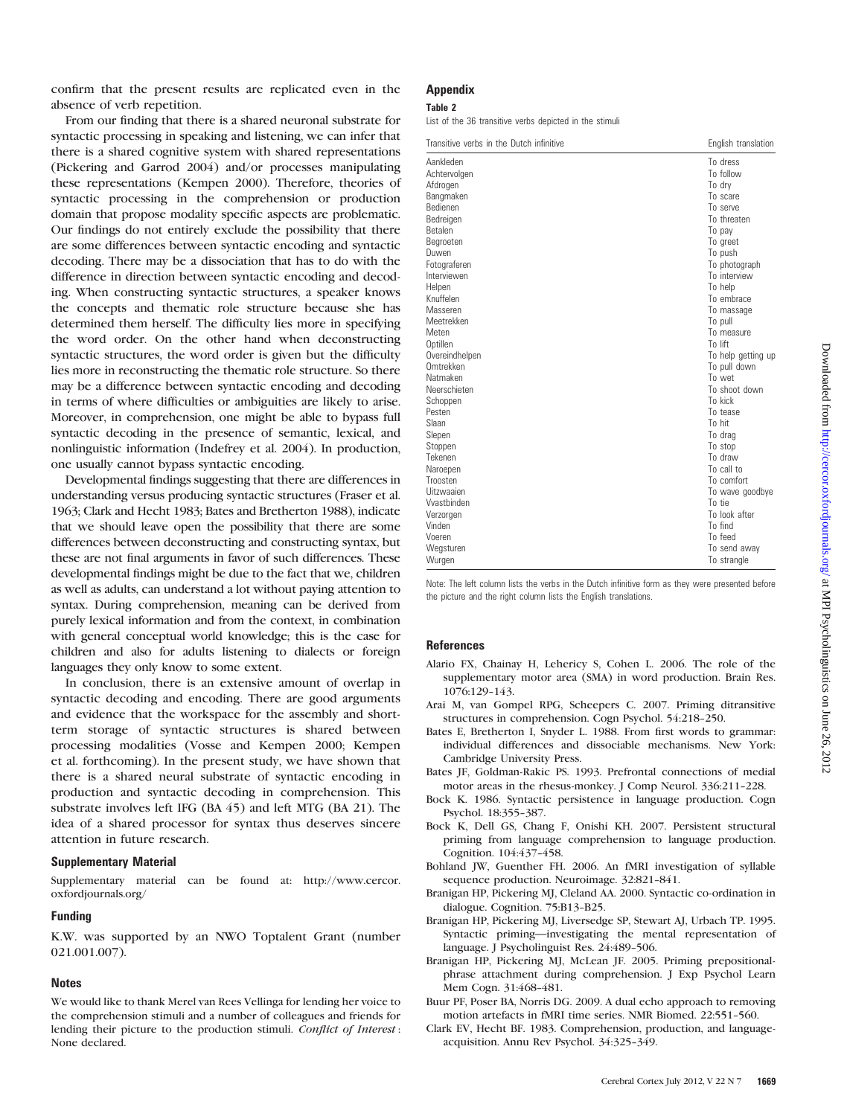confirm that the present results are replicated even in the absence of verb repetition.

From our finding that there is a shared neuronal substrate for syntactic processing in speaking and listening, we can infer that there is a shared cognitive system with shared representations (Pickering and Garrod 2004) and/or processes manipulating these representations (Kempen 2000). Therefore, theories of syntactic processing in the comprehension or production domain that propose modality specific aspects are problematic. Our findings do not entirely exclude the possibility that there are some differences between syntactic encoding and syntactic decoding. There may be a dissociation that has to do with the difference in direction between syntactic encoding and decoding. When constructing syntactic structures, a speaker knows the concepts and thematic role structure because she has determined them herself. The difficulty lies more in specifying the word order. On the other hand when deconstructing syntactic structures, the word order is given but the difficulty lies more in reconstructing the thematic role structure. So there may be a difference between syntactic encoding and decoding in terms of where difficulties or ambiguities are likely to arise. Moreover, in comprehension, one might be able to bypass full syntactic decoding in the presence of semantic, lexical, and nonlinguistic information (Indefrey et al. 2004). In production, one usually cannot bypass syntactic encoding.

Developmental findings suggesting that there are differences in understanding versus producing syntactic structures (Fraser et al. 1963; Clark and Hecht 1983; Bates and Bretherton 1988), indicate that we should leave open the possibility that there are some differences between deconstructing and constructing syntax, but these are not final arguments in favor of such differences. These developmental findings might be due to the fact that we, children as well as adults, can understand a lot without paying attention to syntax. During comprehension, meaning can be derived from purely lexical information and from the context, in combination with general conceptual world knowledge; this is the case for children and also for adults listening to dialects or foreign languages they only know to some extent.

In conclusion, there is an extensive amount of overlap in syntactic decoding and encoding. There are good arguments and evidence that the workspace for the assembly and shortterm storage of syntactic structures is shared between processing modalities (Vosse and Kempen 2000; Kempen et al. forthcoming). In the present study, we have shown that there is a shared neural substrate of syntactic encoding in production and syntactic decoding in comprehension. This substrate involves left IFG (BA 45) and left MTG (BA 21). The idea of a shared processor for syntax thus deserves sincere attention in future research.

#### Supplementary Material

[Supplementary material](http://cercor.oxfordjournals.org/cgi/content/full/bhr249/DC1) can be found at: [http://www.cercor.](http://www.cercor.oxfordjournals.org/) [oxfordjournals.org/](http://www.cercor.oxfordjournals.org/)

# Funding

K.W. was supported by an NWO Toptalent Grant (number 021.001.007).

#### Notes

We would like to thank Merel van Rees Vellinga for lending her voice to the comprehension stimuli and a number of colleagues and friends for lending their picture to the production stimuli. Conflict of Interest :

# **Appendix**

#### Table 2

List of the 36 transitive verbs depicted in the stimuli

| Transitive verbs in the Dutch infinitive | English translation |  |  |  |
|------------------------------------------|---------------------|--|--|--|
| Aankleden                                | To dress            |  |  |  |
| Achtervolgen                             | To follow           |  |  |  |
| Afdrogen                                 | To dry              |  |  |  |
| Bangmaken                                | To scare            |  |  |  |
| Bedienen                                 | To serve            |  |  |  |
| Bedreigen                                | To threaten         |  |  |  |
| <b>Betalen</b>                           | To pay              |  |  |  |
| Begroeten                                | To greet            |  |  |  |
| Duwen                                    | To push             |  |  |  |
| Fotograferen                             | To photograph       |  |  |  |
| Interviewen                              | To interview        |  |  |  |
| Helpen                                   | To help             |  |  |  |
| Knuffelen                                | To embrace          |  |  |  |
| Masseren                                 | To massage          |  |  |  |
| Meetrekken                               | To pull             |  |  |  |
| Meten                                    | To measure          |  |  |  |
| Optillen                                 | To lift             |  |  |  |
| Overeindhelpen                           | To help getting up  |  |  |  |
| Omtrekken                                | To pull down        |  |  |  |
| Natmaken                                 | To wet              |  |  |  |
| Neerschieten                             | To shoot down       |  |  |  |
| Schoppen                                 | To kick             |  |  |  |
| Pesten                                   | To tease            |  |  |  |
| Slaan                                    | To hit              |  |  |  |
| Slepen                                   | To drag             |  |  |  |
| Stoppen                                  | To stop             |  |  |  |
| Tekenen                                  | To draw             |  |  |  |
| Naroepen                                 | To call to          |  |  |  |
| Troosten                                 | To comfort          |  |  |  |
| Uitzwaaien                               | To wave goodbye     |  |  |  |
| Vvastbinden                              | To tie              |  |  |  |
| Verzorgen                                | To look after       |  |  |  |
| Vinden                                   | To find             |  |  |  |
| Voeren                                   | To feed             |  |  |  |
| Wegsturen                                | To send away        |  |  |  |
| Wurgen                                   | To strangle         |  |  |  |

Note: The left column lists the verbs in the Dutch infinitive form as they were presented before the picture and the right column lists the English translations.

#### References

- Alario FX, Chainay H, Lehericy S, Cohen L. 2006. The role of the supplementary motor area (SMA) in word production. Brain Res. 1076:129-143.
- Arai M, van Gompel RPG, Scheepers C. 2007. Priming ditransitive structures in comprehension. Cogn Psychol. 54:218-250.
- Bates E, Bretherton I, Snyder L. 1988. From first words to grammar: individual differences and dissociable mechanisms. New York: Cambridge University Press.
- Bates JF, Goldman-Rakic PS. 1993. Prefrontal connections of medial motor areas in the rhesus-monkey. J Comp Neurol. 336:211-228.
- Bock K. 1986. Syntactic persistence in language production. Cogn Psychol. 18:355-387.
- Bock K, Dell GS, Chang F, Onishi KH. 2007. Persistent structural priming from language comprehension to language production. Cognition. 104:437-458.
- Bohland JW, Guenther FH. 2006. An fMRI investigation of syllable sequence production. Neuroimage. 32:821-841.
- Branigan HP, Pickering MJ, Cleland AA. 2000. Syntactic co-ordination in dialogue. Cognition. 75:B13-B25.
- Branigan HP, Pickering MJ, Liversedge SP, Stewart AJ, Urbach TP. 1995. Syntactic priming—investigating the mental representation of language. J Psycholinguist Res. 24:489-506.
- Branigan HP, Pickering MJ, McLean JF. 2005. Priming prepositionalphrase attachment during comprehension. J Exp Psychol Learn Mem Cogn. 31:468-481.
- Buur PF, Poser BA, Norris DG. 2009. A dual echo approach to removing motion artefacts in fMRI time series. NMR Biomed. 22:551-560.
- Clark EV, Hecht BF. 1983. Comprehension, production, and languageacquisition. Annu Rev Psychol. 34:325-349.

None declared.